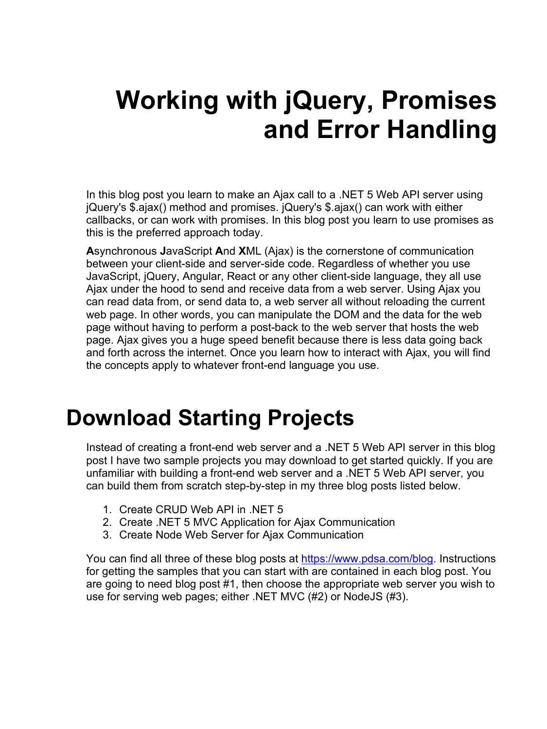# **Working with jQuery, Promises and Error Handling**

In this blog post you learn to make an Ajax call to a .NET 5 Web API server using jQuery's \$.ajax() method and promises. jQuery's \$.ajax() can work with either callbacks, or can work with promises. In this blog post you learn to use promises as this is the preferred approach today.

**A**synchronous **J**avaScript **A**nd **X**ML (Ajax) is the cornerstone of communication between your client-side and server-side code. Regardless of whether you use JavaScript, jQuery, Angular, React or any other client-side language, they all use Ajax under the hood to send and receive data from a web server. Using Ajax you can read data from, or send data to, a web server all without reloading the current web page. In other words, you can manipulate the DOM and the data for the web page without having to perform a post-back to the web server that hosts the web page. Ajax gives you a huge speed benefit because there is less data going back and forth across the internet. Once you learn how to interact with Ajax, you will find the concepts apply to whatever front-end language you use.

### **Download Starting Projects**

Instead of creating a front-end web server and a .NET 5 Web API server in this blog post I have two sample projects you may download to get started quickly. If you are unfamiliar with building a front-end web server and a .NET 5 Web API server, you can build them from scratch step-by-step in my three blog posts listed below.

- 1. Create CRUD Web API in .NET 5
- 2. Create .NET 5 MVC Application for Ajax Communication
- 3. Create Node Web Server for Ajax Communication

You can find all three of these blog posts at [https://www.pdsa.com/blog.](https://www.pdsa.com/blog) Instructions for getting the samples that you can start with are contained in each blog post. You are going to need blog post #1, then choose the appropriate web server you wish to use for serving web pages; either .NET MVC (#2) or NodeJS (#3).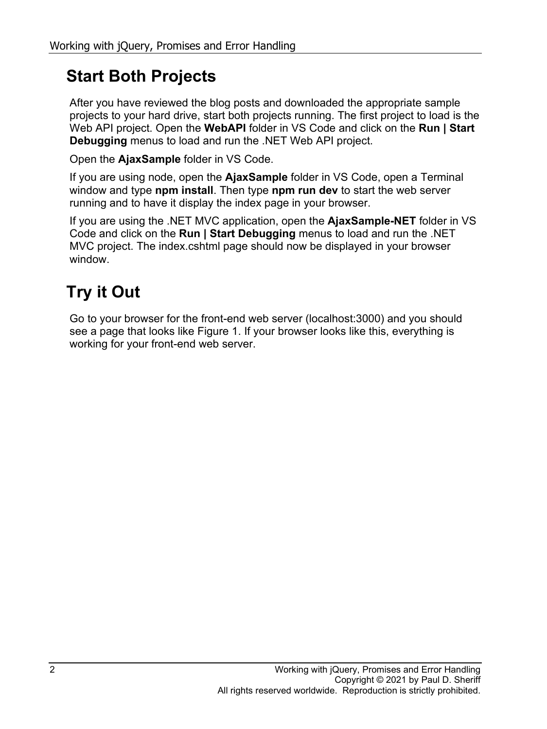#### **Start Both Projects**

After you have reviewed the blog posts and downloaded the appropriate sample projects to your hard drive, start both projects running. The first project to load is the Web API project. Open the **WebAPI** folder in VS Code and click on the **Run | Start Debugging** menus to load and run the .NET Web API project.

Open the **AjaxSample** folder in VS Code.

If you are using node, open the **AjaxSample** folder in VS Code, open a Terminal window and type **npm install**. Then type **npm run dev** to start the web server running and to have it display the index page in your browser.

If you are using the .NET MVC application, open the **AjaxSample-NET** folder in VS Code and click on the **Run | Start Debugging** menus to load and run the .NET MVC project. The index.cshtml page should now be displayed in your browser window.

### **Try it Out**

Go to your browser for the front-end web server (localhost:3000) and you should see a page that looks like [Figure 1.](#page-2-0) If your browser looks like this, everything is working for your front-end web server.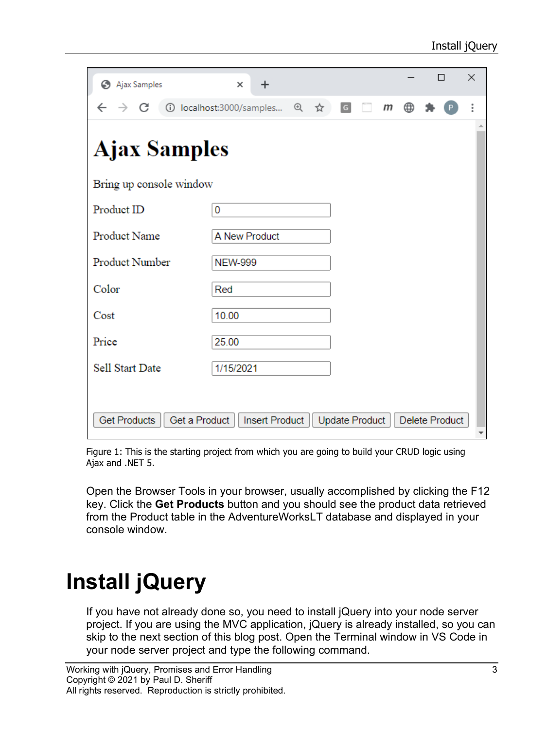| Ajax Samples                         | ×<br>$\div$              |  |     |                |  |              |   |  | П                     | $\times$ |
|--------------------------------------|--------------------------|--|-----|----------------|--|--------------|---|--|-----------------------|----------|
| C<br>$\rightarrow$                   | 1 localhost:3000/samples |  | @ ☆ | $\overline{G}$ |  | $\mathsf{m}$ | ⊕ |  |                       |          |
| <b>Ajax Samples</b>                  |                          |  |     |                |  |              |   |  |                       |          |
| Bring up console window              |                          |  |     |                |  |              |   |  |                       |          |
| Product ID                           | 0                        |  |     |                |  |              |   |  |                       |          |
| Product Name                         | A New Product            |  |     |                |  |              |   |  |                       |          |
| Product Number                       | <b>NEW-999</b>           |  |     |                |  |              |   |  |                       |          |
| Color                                | Red                      |  |     |                |  |              |   |  |                       |          |
| Cost                                 | 10.00                    |  |     |                |  |              |   |  |                       |          |
| Price                                | 25.00                    |  |     |                |  |              |   |  |                       |          |
| Sell Start Date                      | 1/15/2021                |  |     |                |  |              |   |  |                       |          |
|                                      |                          |  |     |                |  |              |   |  |                       |          |
| <b>Get Products</b><br>Get a Product | <b>Insert Product</b>    |  |     | Update Product |  |              |   |  | <b>Delete Product</b> |          |

<span id="page-2-0"></span>Figure 1: This is the starting project from which you are going to build your CRUD logic using Ajax and .NET 5.

Open the Browser Tools in your browser, usually accomplished by clicking the F12 key. Click the **Get Products** button and you should see the product data retrieved from the Product table in the AdventureWorksLT database and displayed in your console window.

## **Install jQuery**

If you have not already done so, you need to install jQuery into your node server project. If you are using the MVC application, jQuery is already installed, so you can skip to the next section of this blog post. Open the Terminal window in VS Code in your node server project and type the following command.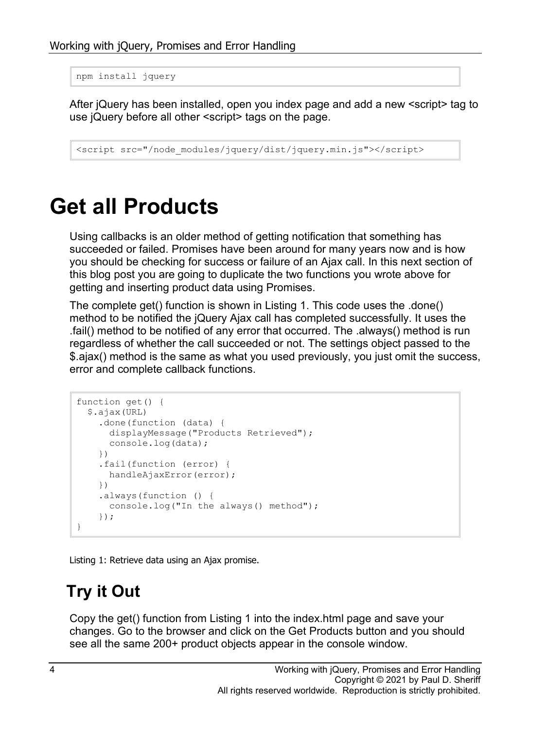```
npm install jquery
```
After jQuery has been installed, open you index page and add a new <script> tag to use jQuery before all other <script> tags on the page.

```
<script src="/node_modules/jquery/dist/jquery.min.js"></script>
```
### **Get all Products**

Using callbacks is an older method of getting notification that something has succeeded or failed. Promises have been around for many years now and is how you should be checking for success or failure of an Ajax call. In this next section of this blog post you are going to duplicate the two functions you wrote above for getting and inserting product data using Promises.

The complete get() function is shown in [Listing 1.](#page-3-0) This code uses the .done() method to be notified the jQuery Ajax call has completed successfully. It uses the .fail() method to be notified of any error that occurred. The .always() method is run regardless of whether the call succeeded or not. The settings object passed to the \$.ajax() method is the same as what you used previously, you just omit the success, error and complete callback functions.

```
function get() {
   $.ajax(URL)
     .done(function (data) {
       displayMessage("Products Retrieved");
       console.log(data);
     })
     .fail(function (error) {
       handleAjaxError(error);
     })
     .always(function () {
      console.log("In the always() method");
     });
}
```
<span id="page-3-0"></span>Listing 1: Retrieve data using an Ajax promise.

#### **Try it Out**

Copy the get() function from [Listing 1](#page-3-0) into the index.html page and save your changes. Go to the browser and click on the Get Products button and you should see all the same 200+ product objects appear in the console window.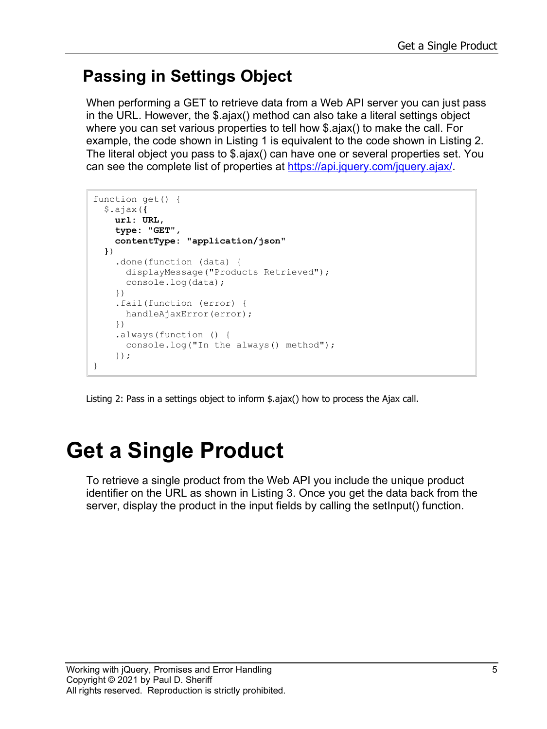#### **Passing in Settings Object**

When performing a GET to retrieve data from a Web API server you can just pass in the URL. However, the \$.ajax() method can also take a literal settings object where you can set various properties to tell how \$.ajax() to make the call. For example, the code shown in [Listing 1](#page-3-0) is equivalent to the code shown in [Listing 2.](#page-4-0) The literal object you pass to \$.ajax() can have one or several properties set. You can see the complete list of properties at [https://api.jquery.com/jquery.ajax/.](https://api.jquery.com/jquery.ajax/)

```
function get() {
   $.ajax({
    url: URL,
     type: "GET",
     contentType: "application/json"
   })
     .done(function (data) {
       displayMessage("Products Retrieved");
       console.log(data);
     })
     .fail(function (error) {
       handleAjaxError(error);
     })
     .always(function () {
       console.log("In the always() method");
     });
}
```
<span id="page-4-0"></span>Listing 2: Pass in a settings object to inform \$.ajax() how to process the Ajax call.

## **Get a Single Product**

To retrieve a single product from the Web API you include the unique product identifier on the URL as shown in [Listing](#page-5-0) 3. Once you get the data back from the server, display the product in the input fields by calling the setInput() function.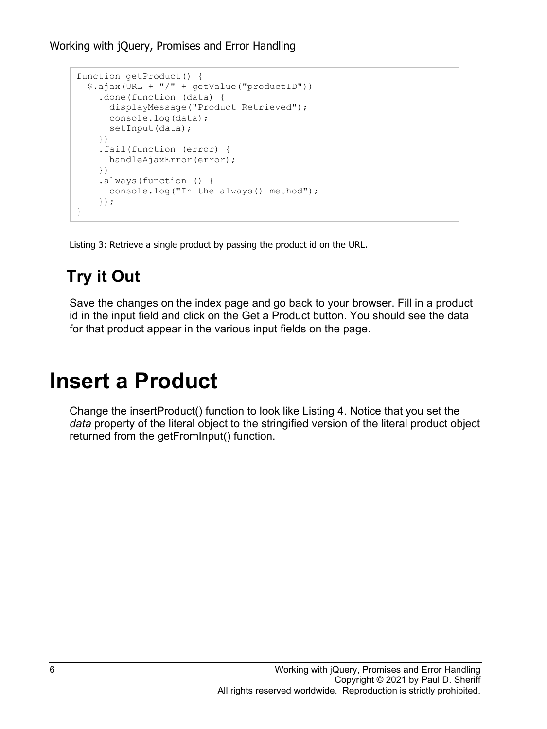```
function getProduct() {
   $.ajax(URL + "/" + getValue("productID"))
     .done(function (data) {
      displayMessage("Product Retrieved");
      console.log(data);
     setInput(data);
     })
     .fail(function (error) {
      handleAjaxError(error);
     })
     .always(function () {
       console.log("In the always() method");
     });
}
```
<span id="page-5-0"></span>Listing 3: Retrieve a single product by passing the product id on the URL.

### **Try it Out**

Save the changes on the index page and go back to your browser. Fill in a product id in the input field and click on the Get a Product button. You should see the data for that product appear in the various input fields on the page.

### **Insert a Product**

Change the insertProduct() function to look like [Listing 4.](#page-6-0) Notice that you set the *data* property of the literal object to the stringified version of the literal product object returned from the getFromInput() function.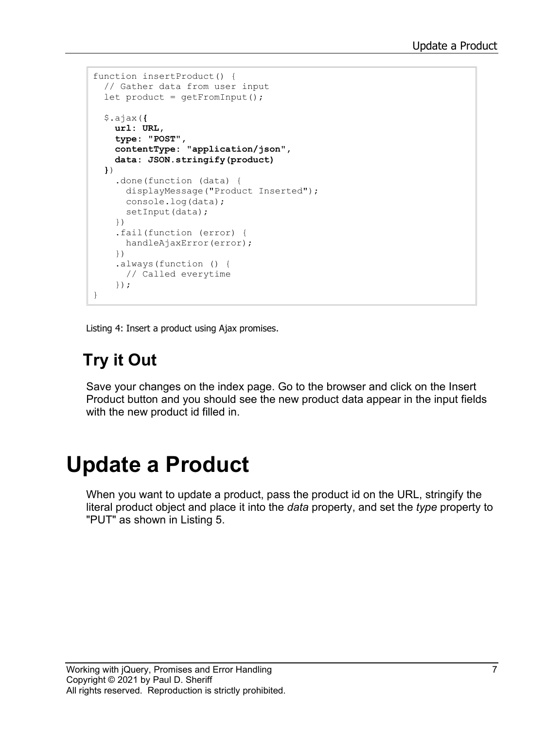```
function insertProduct() {
  // Gather data from user input
   let product = getFromInput();
   $.ajax({
    url: URL,
     type: "POST",
     contentType: "application/json",
     data: JSON.stringify(product)
   })
     .done(function (data) {
       displayMessage("Product Inserted");
       console.log(data);
      setInput(data);
     })
     .fail(function (error) {
      handleAjaxError(error);
     })
     .always(function () {
      // Called everytime
     });
}
```
<span id="page-6-0"></span>Listing 4: Insert a product using Ajax promises.

### **Try it Out**

Save your changes on the index page. Go to the browser and click on the Insert Product button and you should see the new product data appear in the input fields with the new product id filled in.

### **Update a Product**

When you want to update a product, pass the product id on the URL, stringify the literal product object and place it into the *data* property, and set the *type* property to "PUT" as shown in [Listing 5.](#page-7-0)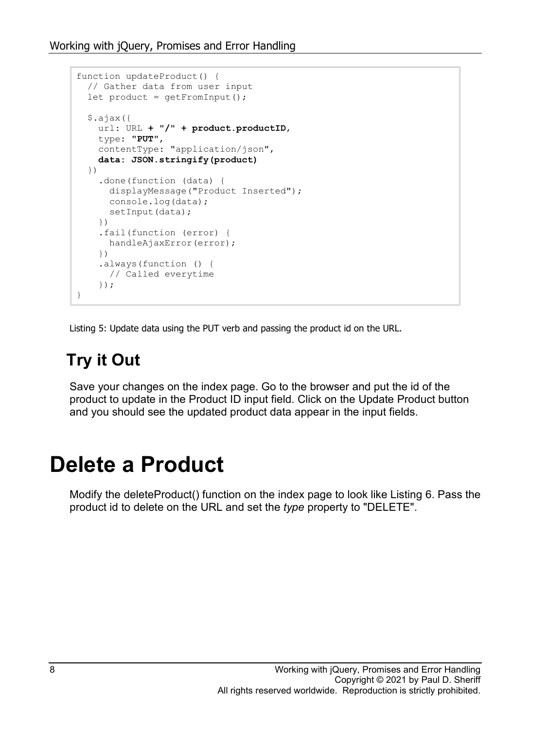```
function updateProduct() {
  // Gather data from user input
 let product = qetFromInput();
   $.ajax({
    url: URL + "/" + product.productID,
    type: "PUT",
    contentType: "application/json",
    data: JSON.stringify(product)
   })
     .done(function (data) {
      displayMessage("Product Inserted");
      console.log(data);
     setInput(data);
     })
     .fail(function (error) {
      handleAjaxError(error);
     })
     .always(function () {
     // Called everytime
     });
}
```
<span id="page-7-0"></span>Listing 5: Update data using the PUT verb and passing the product id on the URL.

### **Try it Out**

Save your changes on the index page. Go to the browser and put the id of the product to update in the Product ID input field. Click on the Update Product button and you should see the updated product data appear in the input fields.

### **Delete a Product**

Modify the deleteProduct() function on the index page to look like [Listing 6.](#page-8-0) Pass the product id to delete on the URL and set the *type* property to "DELETE".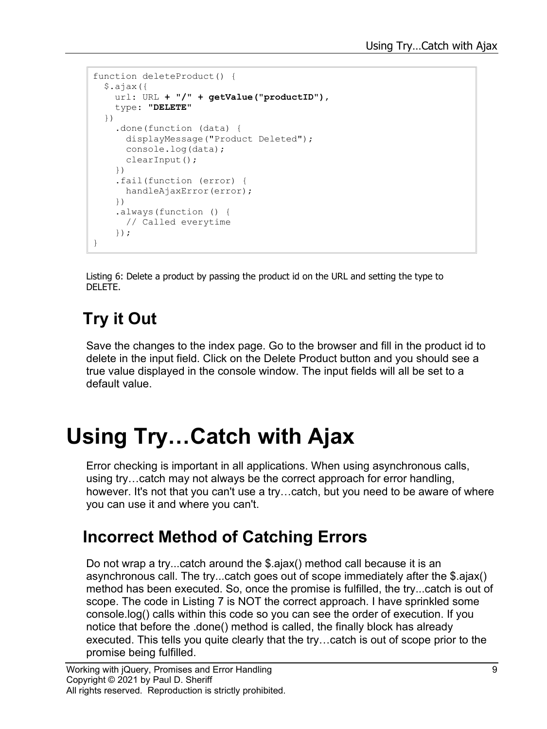```
function deleteProduct() {
  $.ajax({
    url: URL + "/" + getValue("productID"),
    type: "DELETE"
   })
     .done(function (data) {
      displayMessage("Product Deleted");
      console.log(data);
      clearInput();
     })
     .fail(function (error) {
    handleAjaxError(error);
     })
     .always(function () {
      // Called everytime
     });
}
```
<span id="page-8-0"></span>Listing 6: Delete a product by passing the product id on the URL and setting the type to DELETE.

### **Try it Out**

Save the changes to the index page. Go to the browser and fill in the product id to delete in the input field. Click on the Delete Product button and you should see a true value displayed in the console window. The input fields will all be set to a default value.

### **Using Try…Catch with Ajax**

Error checking is important in all applications. When using asynchronous calls, using try…catch may not always be the correct approach for error handling, however. It's not that you can't use a try…catch, but you need to be aware of where you can use it and where you can't.

#### **Incorrect Method of Catching Errors**

Do not wrap a try...catch around the \$.ajax() method call because it is an asynchronous call. The try...catch goes out of scope immediately after the \$.ajax() method has been executed. So, once the promise is fulfilled, the try...catch is out of scope. The code in [Listing 7](#page-9-0) is NOT the correct approach. I have sprinkled some console.log() calls within this code so you can see the order of execution. If you notice that before the .done() method is called, the finally block has already executed. This tells you quite clearly that the try…catch is out of scope prior to the promise being fulfilled.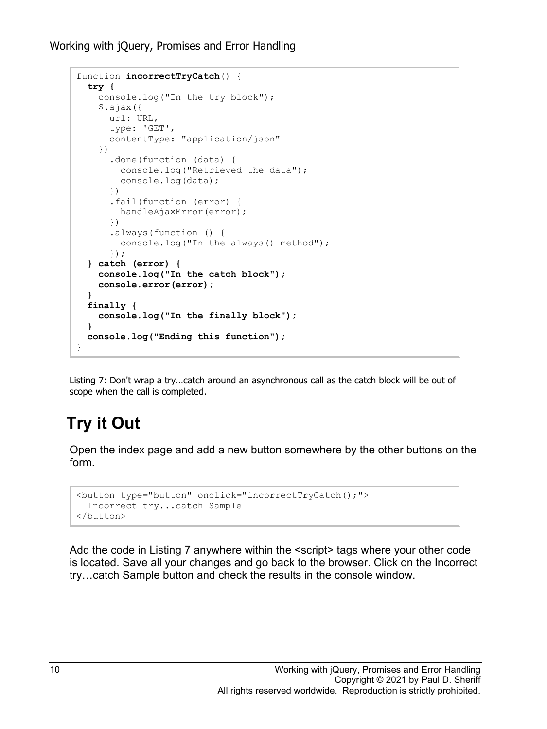```
function incorrectTryCatch() {
   try {
     console.log("In the try block");
     $.ajax({
      url: URL,
      type: 'GET',
      contentType: "application/json"
     })
       .done(function (data) {
         console.log("Retrieved the data");
         console.log(data);
       })
       .fail(function (error) {
        handleAjaxError(error);
       })
       .always(function () {
        console.log("In the always() method");
       });
   } catch (error) {
     console.log("In the catch block");
     console.error(error);
   }
   finally {
     console.log("In the finally block");
   }
   console.log("Ending this function");
}
```
<span id="page-9-0"></span>Listing 7: Don't wrap a try…catch around an asynchronous call as the catch block will be out of scope when the call is completed.

### **Try it Out**

Open the index page and add a new button somewhere by the other buttons on the form.

```
<button type="button" onclick="incorrectTryCatch();">
  Incorrect try...catch Sample
</button>
```
Add the code in [Listing 7](#page-9-0) anywhere within the <script> tags where your other code is located. Save all your changes and go back to the browser. Click on the Incorrect try…catch Sample button and check the results in the console window.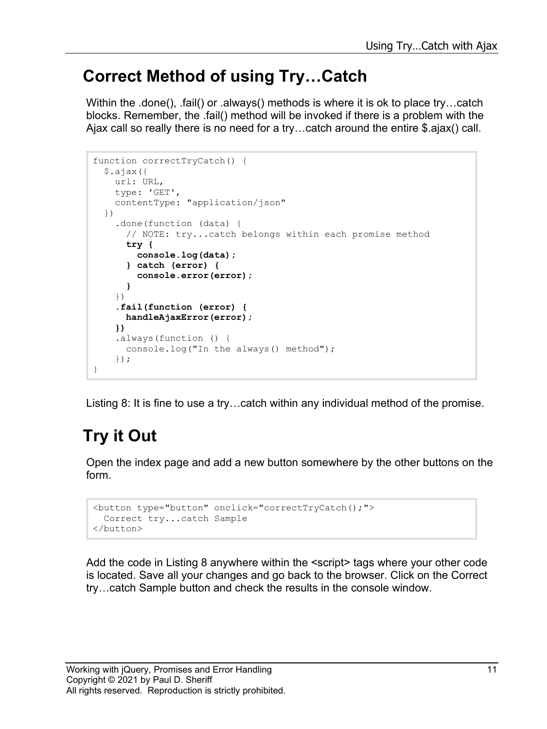#### **Correct Method of using Try…Catch**

Within the .done(), .fail() or .always() methods is where it is ok to place try…catch blocks. Remember, the .fail() method will be invoked if there is a problem with the Ajax call so really there is no need for a try…catch around the entire \$.ajax() call.

```
function correctTryCatch() {
   $.ajax({
    url: URL,
    type: 'GET',
     contentType: "application/json"
   })
     .done(function (data) {
       // NOTE: try...catch belongs within each promise method
       try {
         console.log(data);
       } catch (error) {
         console.error(error);
       }
     })
     .fail(function (error) {
       handleAjaxError(error);
     })
     .always(function () {
       console.log("In the always() method");
     });
}
```
<span id="page-10-0"></span>Listing 8: It is fine to use a try…catch within any individual method of the promise.

### **Try it Out**

Open the index page and add a new button somewhere by the other buttons on the form.

```
<button type="button" onclick="correctTryCatch();">
  Correct try...catch Sample
</button>
```
Add the code in [Listing 8](#page-10-0) anywhere within the <script> tags where your other code is located. Save all your changes and go back to the browser. Click on the Correct try…catch Sample button and check the results in the console window.